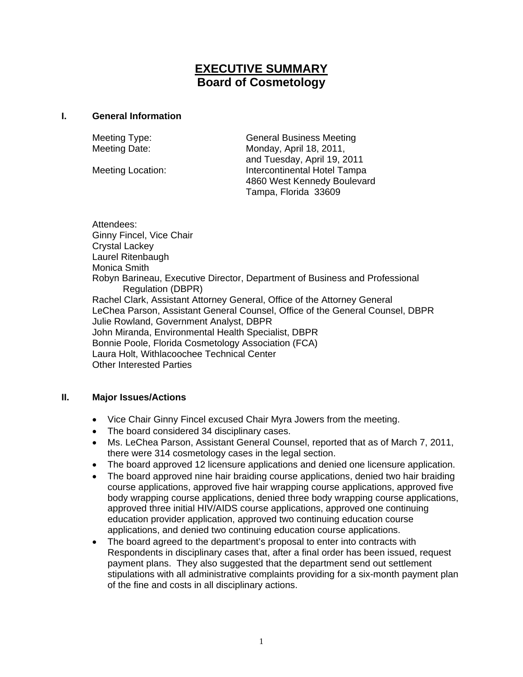# **EXECUTIVE SUMMARY Board of Cosmetology**

#### **I. General Information**

Meeting Type: General Business Meeting Meeting Date: Monday, April 18, 2011, and Tuesday, April 19, 2011 Meeting Location: **Intercontinental Hotel Tampa**  4860 West Kennedy Boulevard Tampa, Florida 33609

Attendees: Ginny Fincel, Vice Chair Crystal Lackey Laurel Ritenbaugh Monica Smith Robyn Barineau, Executive Director, Department of Business and Professional Regulation (DBPR) Rachel Clark, Assistant Attorney General, Office of the Attorney General LeChea Parson, Assistant General Counsel, Office of the General Counsel, DBPR Julie Rowland, Government Analyst, DBPR John Miranda, Environmental Health Specialist, DBPR Bonnie Poole, Florida Cosmetology Association (FCA) Laura Holt, Withlacoochee Technical Center Other Interested Parties

### **II. Major Issues/Actions**

- Vice Chair Ginny Fincel excused Chair Myra Jowers from the meeting.
- The board considered 34 disciplinary cases.
- Ms. LeChea Parson, Assistant General Counsel, reported that as of March 7, 2011, there were 314 cosmetology cases in the legal section.
- The board approved 12 licensure applications and denied one licensure application.
- The board approved nine hair braiding course applications, denied two hair braiding course applications, approved five hair wrapping course applications, approved five body wrapping course applications, denied three body wrapping course applications, approved three initial HIV/AIDS course applications, approved one continuing education provider application, approved two continuing education course applications, and denied two continuing education course applications.
- The board agreed to the department's proposal to enter into contracts with Respondents in disciplinary cases that, after a final order has been issued, request payment plans. They also suggested that the department send out settlement stipulations with all administrative complaints providing for a six-month payment plan of the fine and costs in all disciplinary actions.